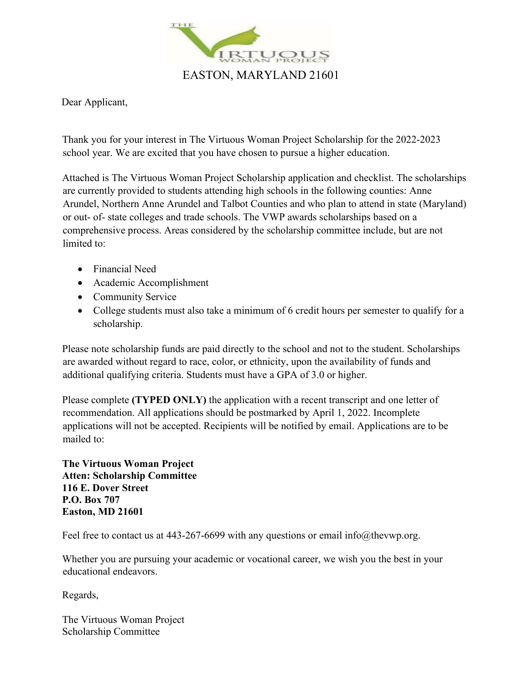

Dear Applicant,

Thank you for your interest in The Virtuous Woman Project Scholarship for the 2022-2023 school year. We are excited that you have chosen to pursue a higher education.

Attached is The Virtuous Woman Project Scholarship application and checklist. The scholarships are currently provided to students attending high schools in the following counties: Anne Arundel, Northern Anne Arundel and Talbot Counties and who plan to attend in state (Maryland) or out- of- state colleges and trade schools. The VWP awards scholarships based on a comprehensive process. Areas considered by the scholarship committee include, but are not limited to:

- Financial Need
- Academic Accomplishment
- Community Service
- College students must also take a minimum of 6 credit hours per semester to qualify for a scholarship.

Please note scholarship funds are paid directly to the school and not to the student. Scholarships are awarded without regard to race, color, or ethnicity, upon the availability of funds and additional qualifying criteria. Students must have a GPA of 3.0 or higher.

Please complete **(TYPED ONLY)** the application with a recent transcript and one letter of recommendation. All applications should be postmarked by April 1, 2022. Incomplete applications will not be accepted. Recipients will be notified by email. Applications are to be mailed to:

**The Virtuous Woman Project Atten: Scholarship Committee 116 E. Dover Street P.O. Box 707 Easton, MD 21601**

Feel free to contact us at 443-267-6699 with any questions or email info@thevwp.org.

Whether you are pursuing your academic or vocational career, we wish you the best in your educational endeavors.

Regards,

The Virtuous Woman Project Scholarship Committee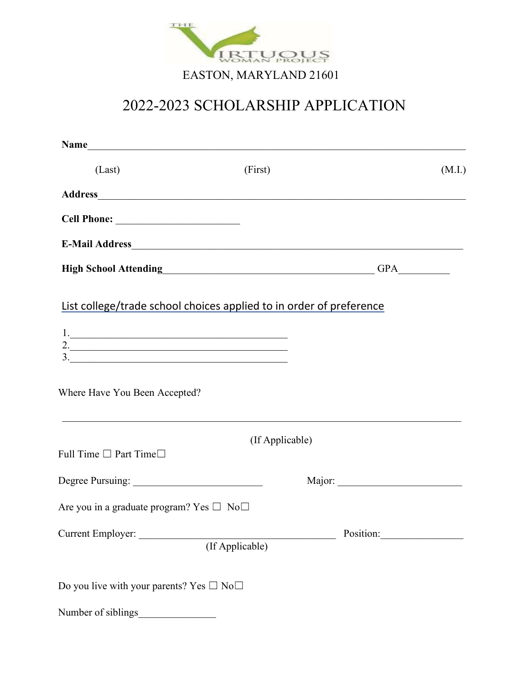

| Name                                                                                                                                                                                                                                                                                                                                                                                                                                                        |                                                                     |        |
|-------------------------------------------------------------------------------------------------------------------------------------------------------------------------------------------------------------------------------------------------------------------------------------------------------------------------------------------------------------------------------------------------------------------------------------------------------------|---------------------------------------------------------------------|--------|
| (Last)                                                                                                                                                                                                                                                                                                                                                                                                                                                      | (First)                                                             | (M.I.) |
|                                                                                                                                                                                                                                                                                                                                                                                                                                                             |                                                                     |        |
|                                                                                                                                                                                                                                                                                                                                                                                                                                                             |                                                                     |        |
|                                                                                                                                                                                                                                                                                                                                                                                                                                                             | E-Mail Address <b>E-Mail Address</b>                                |        |
|                                                                                                                                                                                                                                                                                                                                                                                                                                                             | High School Attending<br><u>Lightary</u>                            |        |
| $\begin{array}{c c c c c} \hline \rule{0pt}{2ex} \rule{0pt}{2ex} \rule{0pt}{2ex} \rule{0pt}{2ex} \rule{0pt}{2ex} \rule{0pt}{2ex} \rule{0pt}{2ex} \rule{0pt}{2ex} \rule{0pt}{2ex} \rule{0pt}{2ex} \rule{0pt}{2ex} \rule{0pt}{2ex} \rule{0pt}{2ex} \rule{0pt}{2ex} \rule{0pt}{2ex} \rule{0pt}{2ex} \rule{0pt}{2ex} \rule{0pt}{2ex} \rule{0pt}{2ex} \rule{0pt}{2ex} \rule{0pt}{2ex} \rule{0pt}{2ex} \rule{0$<br>$\frac{3}{2}$<br>Where Have You Been Accepted? | List college/trade school choices applied to in order of preference |        |
| Full Time $\square$ Part Time $\square$                                                                                                                                                                                                                                                                                                                                                                                                                     | (If Applicable)                                                     |        |
|                                                                                                                                                                                                                                                                                                                                                                                                                                                             |                                                                     |        |
| Are you in a graduate program? Yes $\square$ No $\square$                                                                                                                                                                                                                                                                                                                                                                                                   |                                                                     |        |
| Current Employer:                                                                                                                                                                                                                                                                                                                                                                                                                                           | (If Applicable)                                                     |        |
| Do you live with your parents? Yes $\square$ No $\square$                                                                                                                                                                                                                                                                                                                                                                                                   |                                                                     |        |
| Number of siblings                                                                                                                                                                                                                                                                                                                                                                                                                                          |                                                                     |        |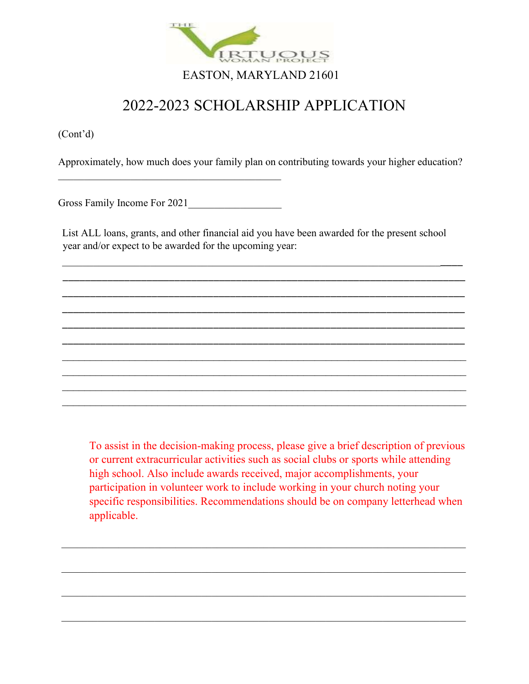

(Cont'd)

Approximately, how much does your family plan on contributing towards your higher education?

Gross Family Income For 2021\_\_\_\_\_\_\_\_\_\_\_\_\_\_\_\_\_\_

 $\overline{\mathcal{L}}$  , and the set of the set of the set of the set of the set of the set of the set of the set of the set of the set of the set of the set of the set of the set of the set of the set of the set of the set of the s

List ALL loans, grants, and other financial aid you have been awarded for the present school year and/or expect to be awarded for the upcoming year:

\_\_\_\_\_\_\_\_\_\_\_\_\_\_\_\_\_\_\_\_\_\_\_\_\_\_\_\_\_\_\_\_\_\_\_\_\_\_\_\_\_\_\_\_\_\_\_\_\_\_\_\_\_\_\_\_\_\_\_\_\_\_\_\_\_\_\_\_\_\_\_\_\_\_\_\_\_ \_\_\_\_\_\_\_\_\_\_\_\_\_\_\_\_\_\_\_\_\_\_\_\_\_\_\_\_\_\_\_\_\_\_\_\_\_\_\_\_\_\_\_\_\_\_\_\_\_\_\_\_\_\_\_\_\_\_\_\_\_\_\_\_\_\_\_\_\_\_\_\_ \_\_\_\_\_\_\_\_\_\_\_\_\_\_\_\_\_\_\_\_\_\_\_\_\_\_\_\_\_\_\_\_\_\_\_\_\_\_\_\_\_\_\_\_\_\_\_\_\_\_\_\_\_\_\_\_\_\_\_\_\_\_\_\_\_\_\_\_\_\_\_\_ \_\_\_\_\_\_\_\_\_\_\_\_\_\_\_\_\_\_\_\_\_\_\_\_\_\_\_\_\_\_\_\_\_\_\_\_\_\_\_\_\_\_\_\_\_\_\_\_\_\_\_\_\_\_\_\_\_\_\_\_\_\_\_\_\_\_\_\_\_\_\_\_ \_\_\_\_\_\_\_\_\_\_\_\_\_\_\_\_\_\_\_\_\_\_\_\_\_\_\_\_\_\_\_\_\_\_\_\_\_\_\_\_\_\_\_\_\_\_\_\_\_\_\_\_\_\_\_\_\_\_\_\_\_\_\_\_\_\_\_\_\_\_\_\_ \_\_\_\_\_\_\_\_\_\_\_\_\_\_\_\_\_\_\_\_\_\_\_\_\_\_\_\_\_\_\_\_\_\_\_\_\_\_\_\_\_\_\_\_\_\_\_\_\_\_\_\_\_\_\_\_\_\_\_\_\_\_\_\_\_\_\_\_\_\_\_\_  $\mathcal{L}_\text{max}$  and  $\mathcal{L}_\text{max}$  and  $\mathcal{L}_\text{max}$  and  $\mathcal{L}_\text{max}$  and  $\mathcal{L}_\text{max}$  and  $\mathcal{L}_\text{max}$  $\_$  , and the set of the set of the set of the set of the set of the set of the set of the set of the set of the set of the set of the set of the set of the set of the set of the set of the set of the set of the set of th

To assist in the decision-making process, please give a brief description of previous or current extracurricular activities such as social clubs or sports while attending high school. Also include awards received, major accomplishments, your participation in volunteer work to include working in your church noting your specific responsibilities. Recommendations should be on company letterhead when applicable.

\_\_\_\_\_\_\_\_\_\_\_\_\_\_\_\_\_\_\_\_\_\_\_\_\_\_\_\_\_\_\_\_\_\_\_\_\_\_\_\_\_\_\_\_\_\_\_\_\_\_\_\_\_\_\_\_\_\_\_\_\_\_\_\_\_\_\_\_\_\_\_\_\_\_\_\_\_\_

 $\mathcal{L}_\mathcal{L} = \mathcal{L}_\mathcal{L} = \mathcal{L}_\mathcal{L} = \mathcal{L}_\mathcal{L} = \mathcal{L}_\mathcal{L} = \mathcal{L}_\mathcal{L} = \mathcal{L}_\mathcal{L} = \mathcal{L}_\mathcal{L} = \mathcal{L}_\mathcal{L} = \mathcal{L}_\mathcal{L} = \mathcal{L}_\mathcal{L} = \mathcal{L}_\mathcal{L} = \mathcal{L}_\mathcal{L} = \mathcal{L}_\mathcal{L} = \mathcal{L}_\mathcal{L} = \mathcal{L}_\mathcal{L} = \mathcal{L}_\mathcal{L}$ 

\_\_\_\_\_\_\_\_\_\_\_\_\_\_\_\_\_\_\_\_\_\_\_\_\_\_\_\_\_\_\_\_\_\_\_\_\_\_\_\_\_\_\_\_\_\_\_\_\_\_\_\_\_\_\_\_\_\_\_\_\_\_\_\_\_\_\_\_\_\_\_\_\_\_\_\_\_\_

\_\_\_\_\_\_\_\_\_\_\_\_\_\_\_\_\_\_\_\_\_\_\_\_\_\_\_\_\_\_\_\_\_\_\_\_\_\_\_\_\_\_\_\_\_\_\_\_\_\_\_\_\_\_\_\_\_\_\_\_\_\_\_\_\_\_\_\_\_\_\_\_\_\_\_\_\_\_

 $\_$  , and the set of the set of the set of the set of the set of the set of the set of the set of the set of the set of the set of the set of the set of the set of the set of the set of the set of the set of the set of th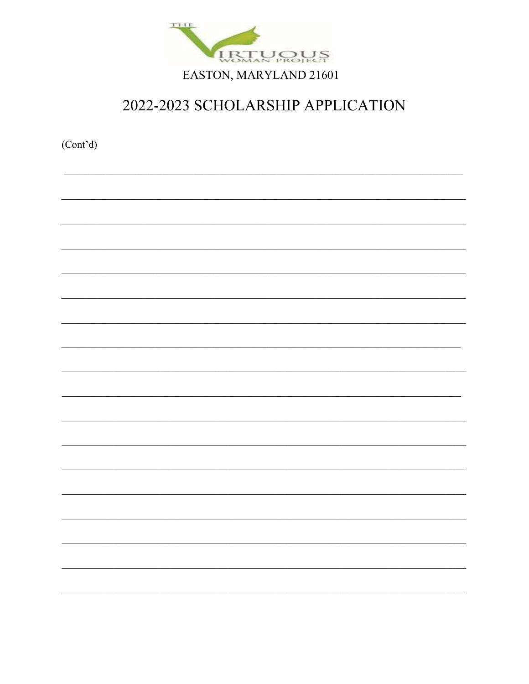

 $(Cont<sup>3</sup>d)$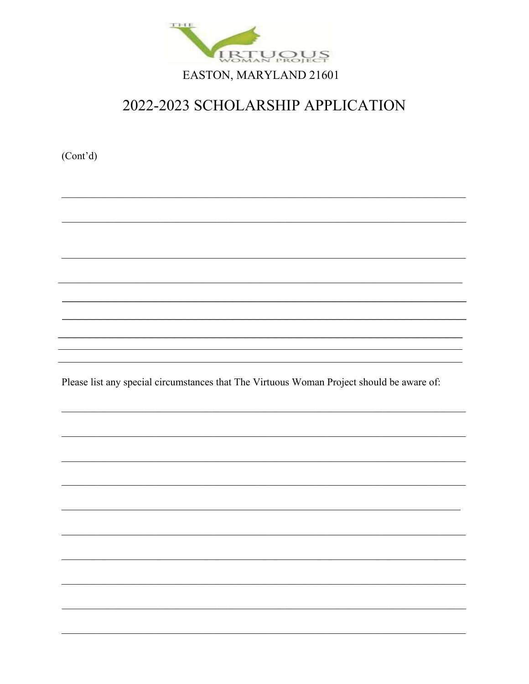

 $(Cont'd)$ 

Please list any special circumstances that The Virtuous Woman Project should be aware of: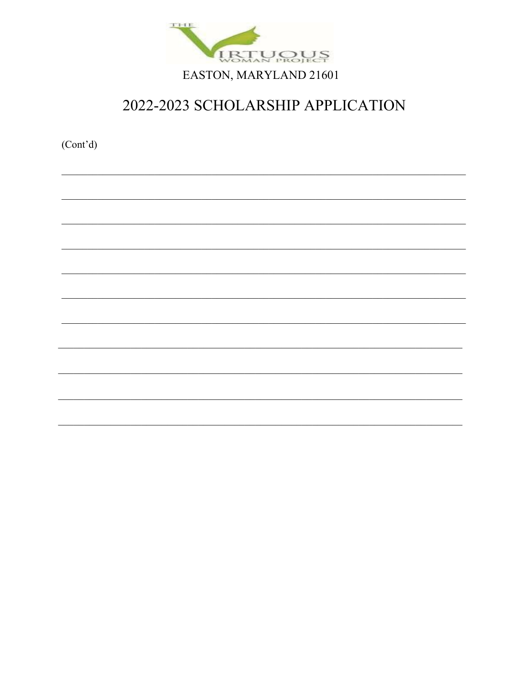

 $(Cont<sup>3</sup>d)$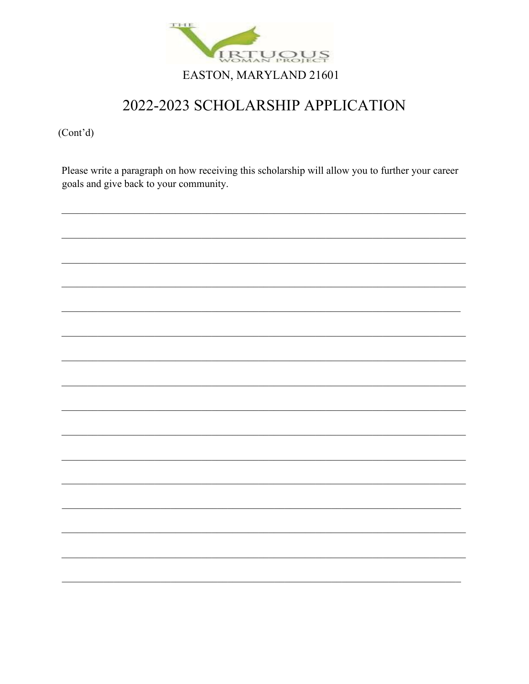

 $(Cont'd)$ 

Please write a paragraph on how receiving this scholarship will allow you to further your career goals and give back to your community.